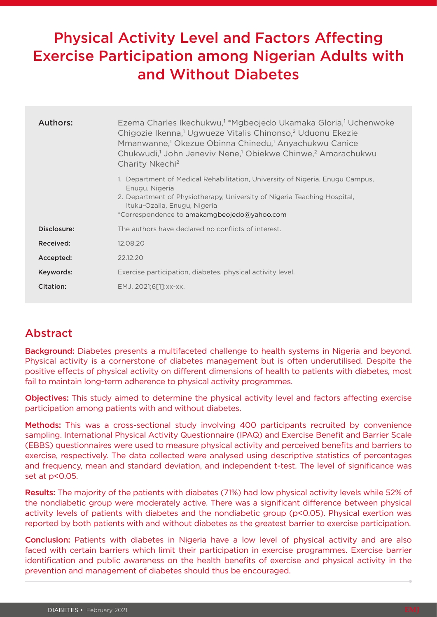# Physical Activity Level and Factors Affecting Exercise Participation among Nigerian Adults with and Without Diabetes

| Authors:    | Ezema Charles Ikechukwu, <sup>1</sup> *Mgbeojedo Ukamaka Gloria, <sup>1</sup> Uchenwoke<br>Chigozie Ikenna, <sup>1</sup> Ugwueze Vitalis Chinonso, <sup>2</sup> Uduonu Ekezie<br>Mmanwanne, <sup>1</sup> Okezue Obinna Chinedu, <sup>1</sup> Anyachukwu Canice<br>Chukwudi, <sup>1</sup> John Jeneviv Nene, <sup>1</sup> Obiekwe Chinwe, <sup>2</sup> Amarachukwu<br>Charity Nkechi <sup>2</sup> |
|-------------|--------------------------------------------------------------------------------------------------------------------------------------------------------------------------------------------------------------------------------------------------------------------------------------------------------------------------------------------------------------------------------------------------|
|             | 1. Department of Medical Rehabilitation, University of Nigeria, Enugu Campus,<br>Enugu, Nigeria<br>2. Department of Physiotherapy, University of Nigeria Teaching Hospital,<br>Ituku-Ozalla, Enugu, Nigeria<br>*Correspondence to amakamgbeojedo@yahoo.com                                                                                                                                       |
| Disclosure: | The authors have declared no conflicts of interest.                                                                                                                                                                                                                                                                                                                                              |
| Received:   | 12.08.20                                                                                                                                                                                                                                                                                                                                                                                         |
| Accepted:   | 22.12.20                                                                                                                                                                                                                                                                                                                                                                                         |
| Keywords:   | Exercise participation, diabetes, physical activity level.                                                                                                                                                                                                                                                                                                                                       |
| Citation:   | EMJ. 2021;6[1]:xx-xx.                                                                                                                                                                                                                                                                                                                                                                            |

## Abstract

Background: Diabetes presents a multifaceted challenge to health systems in Nigeria and beyond. Physical activity is a cornerstone of diabetes management but is often underutilised. Despite the positive effects of physical activity on different dimensions of health to patients with diabetes, most fail to maintain long-term adherence to physical activity programmes.

Objectives: This study aimed to determine the physical activity level and factors affecting exercise participation among patients with and without diabetes.

Methods: This was a cross-sectional study involving 400 participants recruited by convenience sampling. International Physical Activity Questionnaire (IPAQ) and Exercise Benefit and Barrier Scale (EBBS) questionnaires were used to measure physical activity and perceived benefits and barriers to exercise, respectively. The data collected were analysed using descriptive statistics of percentages and frequency, mean and standard deviation, and independent t-test. The level of significance was set at p<0.05.

Results: The majority of the patients with diabetes (71%) had low physical activity levels while 52% of the nondiabetic group were moderately active. There was a significant difference between physical activity levels of patients with diabetes and the nondiabetic group (p<0.05). Physical exertion was reported by both patients with and without diabetes as the greatest barrier to exercise participation.

Conclusion: Patients with diabetes in Nigeria have a low level of physical activity and are also faced with certain barriers which limit their participation in exercise programmes. Exercise barrier identification and public awareness on the health benefits of exercise and physical activity in the prevention and management of diabetes should thus be encouraged.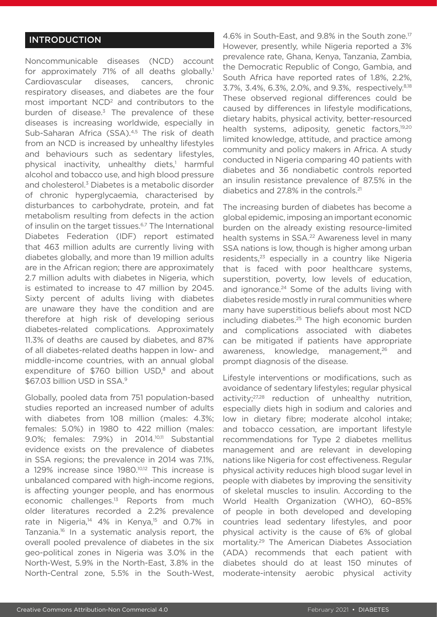## INTRODUCTION

Noncommunicable diseases (NCD) account for approximately 71% of all deaths globally.<sup>1</sup> Cardiovascular diseases, cancers, chronic respiratory diseases, and diabetes are the four most important NCD<sup>2</sup> and contributors to the burden of disease. $3$  The prevalence of these diseases is increasing worldwide, especially in Sub-Saharan Africa (SSA).4,5 The risk of death from an NCD is increased by unhealthy lifestyles and behaviours such as sedentary lifestyles, physical inactivity, unhealthy diets,<sup>1</sup> harmful alcohol and tobacco use, and high blood pressure and cholesterol.<sup>3</sup> Diabetes is a metabolic disorder of chronic hyperglycaemia, characterised by disturbances to carbohydrate, protein, and fat metabolism resulting from defects in the action of insulin on the target tissues.<sup>6,7</sup> The International Diabetes Federation (IDF) report estimated that 463 million adults are currently living with diabetes globally, and more than 19 million adults are in the African region; there are approximately 2.7 million adults with diabetes in Nigeria, which is estimated to increase to 47 million by 2045. Sixty percent of adults living with diabetes are unaware they have the condition and are therefore at high risk of developing serious diabetes-related complications. Approximately 11.3% of deaths are caused by diabetes, and 87% of all diabetes-related deaths happen in low- and middle-income countries, with an annual global expenditure of  $$760$  billion USD, $8$  and about \$67.03 billion USD in SSA.9

Globally, pooled data from 751 population-based studies reported an increased number of adults with diabetes from 108 million (males: 4.3%; females: 5.0%) in 1980 to 422 million (males: 9.0%; females: 7.9%) in 2014.<sup>10,11</sup> Substantial evidence exists on the prevalence of diabetes in SSA regions; the prevalence in 2014 was 7.1%, a 129% increase since 1980.10,12 This increase is unbalanced compared with high-income regions, is affecting younger people, and has enormous economic challenges.<sup>13</sup> Reports from much older literatures recorded a 2.2% prevalence rate in Nigeria,<sup>14</sup> 4% in Kenya,<sup>15</sup> and 0.7% in Tanzania.<sup>16</sup> In a systematic analysis report, the overall pooled prevalence of diabetes in the six geo-political zones in Nigeria was 3.0% in the North-West, 5.9% in the North-East, 3.8% in the North-Central zone, 5.5% in the South-West, 4.6% in South-East, and 9.8% in the South zone.17 However, presently, while Nigeria reported a 3% prevalence rate, Ghana, Kenya, Tanzania, Zambia, the Democratic Republic of Congo, Gambia, and South Africa have reported rates of 1.8%, 2.2%, 3.7%, 3.4%, 6.3%, 2.0%, and 9.3%, respectively.8,18 These observed regional differences could be caused by differences in lifestyle modifications, dietary habits, physical activity, better-resourced health systems, adiposity, genetic factors,<sup>19,20</sup> limited knowledge, attitude, and practice among community and policy makers in Africa. A study conducted in Nigeria comparing 40 patients with diabetes and 36 nondiabetic controls reported an insulin resistance prevalence of 87.5% in the diabetics and 27.8% in the controls.21

The increasing burden of diabetes has become a global epidemic, imposing an important economic burden on the already existing resource-limited health systems in SSA.<sup>22</sup> Awareness level in many SSA nations is low, though is higher among urban residents,<sup>23</sup> especially in a country like Nigeria that is faced with poor healthcare systems, superstition, poverty, low levels of education, and ignorance.<sup>24</sup> Some of the adults living with diabetes reside mostly in rural communities where many have superstitious beliefs about most NCD including diabetes.25 The high economic burden and complications associated with diabetes can be mitigated if patients have appropriate awareness, knowledge, management,<sup>26</sup> and prompt diagnosis of the disease.

Lifestyle interventions or modifications, such as avoidance of sedentary lifestyles; regular physical activity;27,28 reduction of unhealthy nutrition, especially diets high in sodium and calories and low in dietary fibre; moderate alcohol intake; and tobacco cessation, are important lifestyle recommendations for Type 2 diabetes mellitus management and are relevant in developing nations like Nigeria for cost effectiveness. Regular physical activity reduces high blood sugar level in people with diabetes by improving the sensitivity of skeletal muscles to insulin. According to the World Health Organization (WHO), 60–85% of people in both developed and developing countries lead sedentary lifestyles, and poor physical activity is the cause of 6% of global mortality.29 The American Diabetes Association (ADA) recommends that each patient with diabetes should do at least 150 minutes of moderate-intensity aerobic physical activity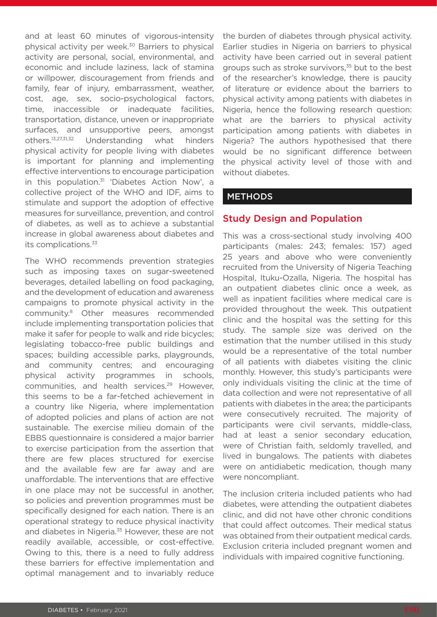and at least 60 minutes of vigorous-intensity physical activity per week.<sup>30</sup> Barriers to physical activity are personal, social, environmental, and economic and include laziness, lack of stamina or willpower, discouragement from friends and family, fear of injury, embarrassment, weather, cost, age, sex, socio-psychological factors, time, inaccessible or inadequate facilities, transportation, distance, uneven or inappropriate surfaces, and unsupportive peers, amongst others.13,27,31,32 Understanding what hinders physical activity for people living with diabetes is important for planning and implementing effective interventions to encourage participation in this population.<sup>31</sup> 'Diabetes Action Now', a collective project of the WHO and IDF, aims to stimulate and support the adoption of effective measures for surveillance, prevention, and control of diabetes, as well as to achieve a substantial increase in global awareness about diabetes and its complications.<sup>33</sup>

The WHO recommends prevention strategies such as imposing taxes on sugar-sweetened beverages, detailed labelling on food packaging, and the development of education and awareness campaigns to promote physical activity in the community.8 Other measures recommended include implementing transportation policies that make it safer for people to walk and ride bicycles; legislating tobacco-free public buildings and spaces; building accessible parks, playgrounds, and community centres; and encouraging physical activity programmes in schools, communities, and health services.29 However, this seems to be a far-fetched achievement in a country like Nigeria, where implementation of adopted policies and plans of action are not sustainable. The exercise milieu domain of the EBBS questionnaire is considered a major barrier to exercise participation from the assertion that there are few places structured for exercise and the available few are far away and are unaffordable. The interventions that are effective in one place may not be successful in another, so policies and prevention programmes must be specifically designed for each nation. There is an operational strategy to reduce physical inactivity and diabetes in Nigeria.<sup>35</sup> However, these are not readily available, accessible, or cost-effective. Owing to this, there is a need to fully address these barriers for effective implementation and optimal management and to invariably reduce

the burden of diabetes through physical activity. Earlier studies in Nigeria on barriers to physical activity have been carried out in several patient groups such as stroke survivors,<sup>35</sup> but to the best of the researcher's knowledge, there is paucity of literature or evidence about the barriers to physical activity among patients with diabetes in Nigeria, hence the following research question: what are the barriers to physical activity participation among patients with diabetes in Nigeria? The authors hypothesised that there would be no significant difference between the physical activity level of those with and without diabetes.

#### **METHODS**

#### Study Design and Population

This was a cross-sectional study involving 400 participants (males: 243; females: 157) aged 25 years and above who were conveniently recruited from the University of Nigeria Teaching Hospital, Ituku-Ozalla, Nigeria. The hospital has an outpatient diabetes clinic once a week, as well as inpatient facilities where medical care is provided throughout the week. This outpatient clinic and the hospital was the setting for this study. The sample size was derived on the estimation that the number utilised in this study would be a representative of the total number of all patients with diabetes visiting the clinic monthly. However, this study's participants were only individuals visiting the clinic at the time of data collection and were not representative of all patients with diabetes in the area; the participants were consecutively recruited. The majority of participants were civil servants, middle-class, had at least a senior secondary education, were of Christian faith, seldomly travelled, and lived in bungalows. The patients with diabetes were on antidiabetic medication, though many were noncompliant.

The inclusion criteria included patients who had diabetes, were attending the outpatient diabetes clinic, and did not have other chronic conditions that could affect outcomes. Their medical status was obtained from their outpatient medical cards. Exclusion criteria included pregnant women and individuals with impaired cognitive functioning.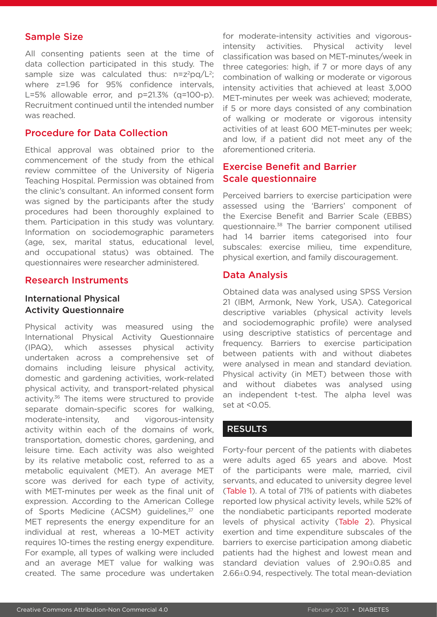#### Sample Size

All consenting patients seen at the time of data collection participated in this study. The sample size was calculated thus:  $n=z^2pq/L^2$ ; where z=1.96 for 95% confidence intervals, L=5% allowable error, and  $p=21.3%$  (q=100-p). Recruitment continued until the intended number was reached.

#### Procedure for Data Collection

Ethical approval was obtained prior to the commencement of the study from the ethical review committee of the University of Nigeria Teaching Hospital. Permission was obtained from the clinic's consultant. An informed consent form was signed by the participants after the study procedures had been thoroughly explained to them. Participation in this study was voluntary. Information on sociodemographic parameters (age, sex, marital status, educational level, and occupational status) was obtained. The questionnaires were researcher administered.

#### Research Instruments

#### International Physical Activity Questionnaire

Physical activity was measured using the International Physical Activity Questionnaire (IPAQ), which assesses physical activity undertaken across a comprehensive set of domains including leisure physical activity, domestic and gardening activities, work-related physical activity, and transport-related physical activity.<sup>36</sup> The items were structured to provide separate domain-specific scores for walking, moderate-intensity, and vigorous-intensity activity within each of the domains of work, transportation, domestic chores, gardening, and leisure time. Each activity was also weighted by its relative metabolic cost, referred to as a metabolic equivalent (MET). An average MET score was derived for each type of activity, with MET-minutes per week as the final unit of expression. According to the American College of Sports Medicine (ACSM) guidelines,<sup>37</sup> one MET represents the energy expenditure for an individual at rest, whereas a 10-MET activity requires 10-times the resting energy expenditure. For example, all types of walking were included and an average MET value for walking was created. The same procedure was undertaken

for moderate-intensity activities and vigorousintensity activities. Physical activity level classification was based on MET-minutes/week in three categories: high, if 7 or more days of any combination of walking or moderate or vigorous intensity activities that achieved at least 3,000 MET-minutes per week was achieved; moderate, if 5 or more days consisted of any combination of walking or moderate or vigorous intensity activities of at least 600 MET-minutes per week; and low, if a patient did not meet any of the aforementioned criteria.

## Exercise Benefit and Barrier Scale questionnaire

Perceived barriers to exercise participation were assessed using the 'Barriers' component of the Exercise Benefit and Barrier Scale (EBBS) questionnaire.38 The barrier component utilised had 14 barrier items categorised into four subscales: exercise milieu, time expenditure, physical exertion, and family discouragement.

#### Data Analysis

Obtained data was analysed using SPSS Version 21 (IBM, Armonk, New York, USA). Categorical descriptive variables (physical activity levels and sociodemographic profile) were analysed using descriptive statistics of percentage and frequency. Barriers to exercise participation between patients with and without diabetes were analysed in mean and standard deviation. Physical activity (in MET) between those with and without diabetes was analysed using an independent t-test. The alpha level was set at <0.05.

#### **RESULTS**

Forty-four percent of the patients with diabetes were adults aged 65 years and above. Most of the participants were male, married, civil servants, and educated to university degree level (Table 1). A total of 71% of patients with diabetes reported low physical activity levels, while 52% of the nondiabetic participants reported moderate levels of physical activity (Table 2). Physical exertion and time expenditure subscales of the barriers to exercise participation among diabetic patients had the highest and lowest mean and standard deviation values of 2.90±0.85 and 2.66±0.94, respectively. The total mean-deviation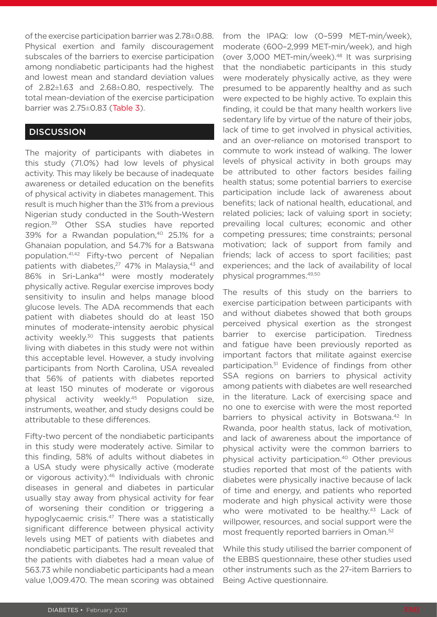of the exercise participation barrier was 2.78±0.88. Physical exertion and family discouragement subscales of the barriers to exercise participation among nondiabetic participants had the highest and lowest mean and standard deviation values of 2.82±1.63 and 2.68±0.80, respectively. The total mean-deviation of the exercise participation barrier was 2.75±0.83 (Table 3).

#### **DISCUSSION**

The majority of participants with diabetes in this study (71.0%) had low levels of physical activity. This may likely be because of inadequate awareness or detailed education on the benefits of physical activity in diabetes management. This result is much higher than the 31% from a previous Nigerian study conducted in the South-Western region.39 Other SSA studies have reported 39% for a Rwandan population,<sup>40</sup> 25.1% for a Ghanaian population, and 54.7% for a Batswana population.41,42 Fifty-two percent of Nepalian patients with diabetes, $27$  47% in Malaysia, $43$  and 86% in Sri-Lanka<sup>44</sup> were mostly moderately physically active. Regular exercise improves body sensitivity to insulin and helps manage blood glucose levels. The ADA recommends that each patient with diabetes should do at least 150 minutes of moderate-intensity aerobic physical activity weekly.<sup>30</sup> This suggests that patients living with diabetes in this study were not within this acceptable level. However, a study involving participants from North Carolina, USA revealed that 56% of patients with diabetes reported at least 150 minutes of moderate or vigorous physical activity weekly.45 Population size, instruments, weather, and study designs could be attributable to these differences.

Fifty-two percent of the nondiabetic participants in this study were moderately active. Similar to this finding, 58% of adults without diabetes in a USA study were physically active (moderate or vigorous activity).<sup>46</sup> Individuals with chronic diseases in general and diabetes in particular usually stay away from physical activity for fear of worsening their condition or triggering a hypoglycaemic crisis.<sup>47</sup> There was a statistically significant difference between physical activity levels using MET of patients with diabetes and nondiabetic participants. The result revealed that the patients with diabetes had a mean value of 563.73 while nondiabetic participants had a mean value 1,009.470. The mean scoring was obtained

from the IPAQ: low (0–599 MET-min/week), moderate (600–2,999 MET-min/week), and high (over 3,000 MET-min/week).48 It was surprising that the nondiabetic participants in this study were moderately physically active, as they were presumed to be apparently healthy and as such were expected to be highly active. To explain this finding, it could be that many health workers live sedentary life by virtue of the nature of their jobs, lack of time to get involved in physical activities, and an over-reliance on motorised transport to commute to work instead of walking. The lower levels of physical activity in both groups may be attributed to other factors besides failing health status; some potential barriers to exercise participation include lack of awareness about benefits; lack of national health, educational, and related policies; lack of valuing sport in society; prevailing local cultures; economic and other competing pressures; time constraints; personal motivation; lack of support from family and friends; lack of access to sport facilities; past experiences; and the lack of availability of local physical programmes.49,50

The results of this study on the barriers to exercise participation between participants with and without diabetes showed that both groups perceived physical exertion as the strongest barrier to exercise participation. Tiredness and fatigue have been previously reported as important factors that militate against exercise participation.51 Evidence of findings from other SSA regions on barriers to physical activity among patients with diabetes are well researched in the literature. Lack of exercising space and no one to exercise with were the most reported barriers to physical activity in Botswana.<sup>42</sup> In Rwanda, poor health status, lack of motivation, and lack of awareness about the importance of physical activity were the common barriers to physical activity participation.40 Other previous studies reported that most of the patients with diabetes were physically inactive because of lack of time and energy, and patients who reported moderate and high physical activity were those who were motivated to be healthy.<sup>43</sup> Lack of willpower, resources, and social support were the most frequently reported barriers in Oman.52

While this study utilised the barrier component of the EBBS questionnaire, these other studies used other instruments such as the 27-item Barriers to Being Active questionnaire.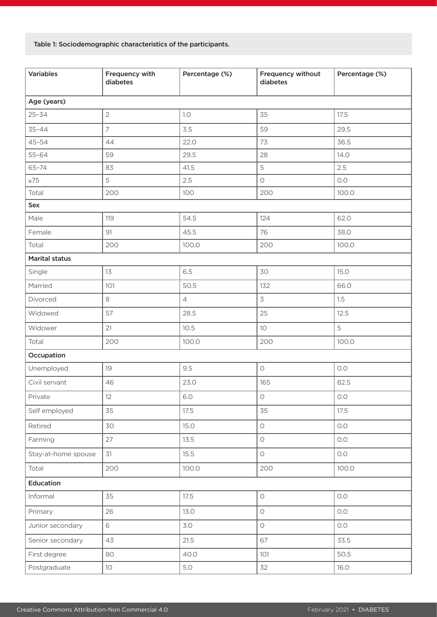Table 1: Sociodemographic characteristics of the participants.

| <b>Variables</b>      | Frequency with<br>diabetes | Percentage (%) | Frequency without<br>diabetes | Percentage (%) |  |  |  |
|-----------------------|----------------------------|----------------|-------------------------------|----------------|--|--|--|
| Age (years)           |                            |                |                               |                |  |  |  |
| $25 - 34$             | $\overline{2}$             | $1.0\,$        | 35                            | 17.5           |  |  |  |
| $35 - 44$             | $\overline{7}$             | 3.5            | 59                            | 29.5           |  |  |  |
| $45 - 54$             | 44                         | 22.0           | 73                            | 36.5           |  |  |  |
| $55 - 64$             | 59                         | 29.5           | 28                            | 14.0           |  |  |  |
| $65 - 74$             | 83                         | 41.5           | 5                             | 2.5            |  |  |  |
| $\geq 75$             | 5                          | 2.5            | $\bigcirc$                    | O.O            |  |  |  |
| Total                 | 200                        | 100            | 200                           | 100.0          |  |  |  |
| Sex                   |                            |                |                               |                |  |  |  |
| Male                  | 119                        | 54.5           | 124                           | 62.0           |  |  |  |
| Female                | 91                         | 45.5           | 76                            | 38.0           |  |  |  |
| Total                 | 200                        | 100.0          | 200                           | 100.0          |  |  |  |
| <b>Marital status</b> |                            |                |                               |                |  |  |  |
| Single                | 13                         | 6.5            | 30                            | 15.0           |  |  |  |
| Married               | 101                        | 50.5           | 132                           | 66.0           |  |  |  |
| Divorced              | 8                          | $\overline{4}$ | 3                             | 1.5            |  |  |  |
| Widowed               | 57                         | 28.5           | 25                            | 12.5           |  |  |  |
| Widower               | 21                         | 10.5           | 10                            | 5              |  |  |  |
| Total                 | 200                        | 100.0          | 200                           | 100.0          |  |  |  |
| Occupation            |                            |                |                               |                |  |  |  |
| Unemployed            | 19                         | 9.5            | $\bigcirc$                    | O.O            |  |  |  |
| Civil servant         | 46                         | 23.0           | 82.5<br>165                   |                |  |  |  |
| Private               | 12                         | 6.0            | $\circ$<br>O.O                |                |  |  |  |
| Self employed         | 35                         | 17.5           | 35<br>17.5                    |                |  |  |  |
| Retired               | 30                         | 15.0           | $\bigcirc$<br>$O.O$           |                |  |  |  |
| Farming               | 27                         | 13.5           | $\bigcirc$                    | $O.O$          |  |  |  |
| Stay-at-home spouse   | 31                         | 15.5           | $\bigcirc$                    | $O.O$          |  |  |  |
| Total                 | 200                        | 100.0          | 200                           | 100.0          |  |  |  |
| Education             |                            |                |                               |                |  |  |  |
| Informal              | 35                         | 17.5           | $\bigcirc$                    | O.O            |  |  |  |
| Primary               | 26                         | 13.0           | $\bigcirc$                    | $O.O$          |  |  |  |
| Junior secondary      | 6                          | 3.0            | $\bigcirc$                    | $O.O$          |  |  |  |
| Senior secondary      | 43                         | 21.5           | 67                            | 33.5           |  |  |  |
| First degree          | 80                         | 40.0           | 101                           | 50.5           |  |  |  |
| Postgraduate          | 10 <sup>°</sup>            | 5.0            | 32                            | 16.0           |  |  |  |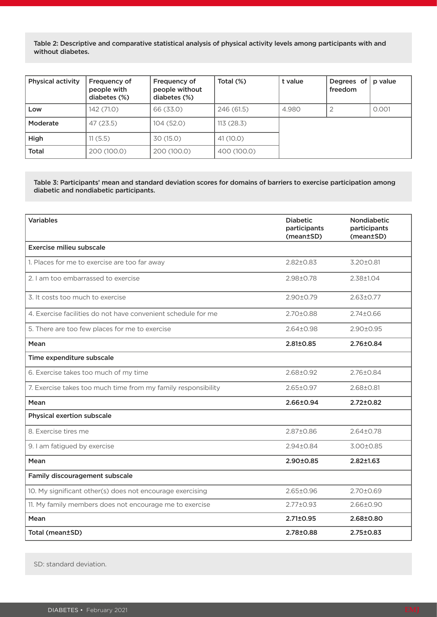Table 2: Descriptive and comparative statistical analysis of physical activity levels among participants with and without diabetes.

| <b>Physical activity</b> | Frequency of<br>people with<br>diabetes (%) | Frequency of<br>people without<br>diabetes (%) | Total $(\%)$ | t value | Degrees of<br>freedom | p value |
|--------------------------|---------------------------------------------|------------------------------------------------|--------------|---------|-----------------------|---------|
| Low                      | 142 (71.0)                                  | 66 (33.0)                                      | 246 (61.5)   | 4.980   |                       | 0.001   |
| Moderate                 | 47(23.5)                                    | 104 (52.0)                                     | 113(28.3)    |         |                       |         |
| High                     | 11(5.5)                                     | 30 (15.0)                                      | 41(10.0)     |         |                       |         |
| <b>Total</b>             | 200 (100.0)                                 | 200 (100.0)                                    | 400 (100.0)  |         |                       |         |

#### Table 3: Participants' mean and standard deviation scores for domains of barriers to exercise participation among diabetic and nondiabetic participants.

| <b>Variables</b>                                              | <b>Diabetic</b><br>participants<br>(mean±SD) | <b>Nondiabetic</b><br>participants<br>(mean±SD) |
|---------------------------------------------------------------|----------------------------------------------|-------------------------------------------------|
| <b>Exercise milieu subscale</b>                               |                                              |                                                 |
| 1. Places for me to exercise are too far away                 | $2.82 \pm 0.83$                              | $3.20 \pm 0.81$                                 |
| 2. I am too embarrassed to exercise                           | 2.98±0.78                                    | 2.38±1.04                                       |
| 3. It costs too much to exercise                              | $2.90 \pm 0.79$                              | $2.63 \pm 0.77$                                 |
| 4. Exercise facilities do not have convenient schedule for me | 2.70±0.88                                    | $2.74 \pm 0.66$                                 |
| 5. There are too few places for me to exercise                | 2.64±0.98                                    | 2.90±0.95                                       |
| Mean                                                          | $2.81 \pm 0.85$                              | 2.76±0.84                                       |
| Time expenditure subscale                                     |                                              |                                                 |
| 6. Exercise takes too much of my time                         | $2.68 \pm 0.92$                              | $2.76 \pm 0.84$                                 |
| 7. Exercise takes too much time from my family responsibility | 2.65±0.97                                    | 2.68±0.81                                       |
| Mean                                                          | 2.66±0.94                                    | $2.72 \pm 0.82$                                 |
| Physical exertion subscale                                    |                                              |                                                 |
| 8. Exercise tires me                                          | $2.87 \pm 0.86$                              | $2.64 \pm 0.78$                                 |
| 9. I am fatigued by exercise                                  | 2.94±0.84                                    | 3.00±0.85                                       |
| Mean                                                          | 2.90±0.85                                    | $2.82 \pm 1.63$                                 |
| Family discouragement subscale                                |                                              |                                                 |
| 10. My significant other(s) does not encourage exercising     | 2.65±0.96                                    | $2.70 \pm 0.69$                                 |
| 11. My family members does not encourage me to exercise       | $2.77 \pm 0.93$                              | 2.66±0.90                                       |
| Mean                                                          | $2.71 \pm 0.95$                              | 2.68±0.80                                       |
| Total (mean±SD)                                               | 2.78±0.88                                    | $2.75 \pm 0.83$                                 |

SD: standard deviation.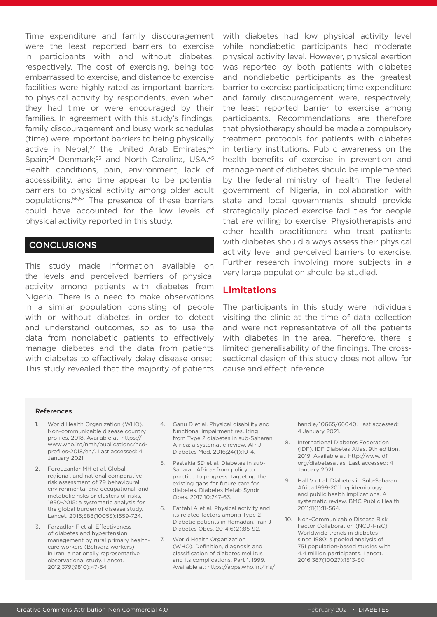Time expenditure and family discouragement were the least reported barriers to exercise in participants with and without diabetes, respectively. The cost of exercising, being too embarrassed to exercise, and distance to exercise facilities were highly rated as important barriers to physical activity by respondents, even when they had time or were encouraged by their families. In agreement with this study's findings, family discouragement and busy work schedules (time) were important barriers to being physically active in Nepal;<sup>27</sup> the United Arab Emirates;<sup>53</sup> Spain;<sup>54</sup> Denmark;<sup>55</sup> and North Carolina, USA.<sup>45</sup> Health conditions, pain, environment, lack of accessibility, and time appear to be potential barriers to physical activity among older adult populations.56,57 The presence of these barriers could have accounted for the low levels of physical activity reported in this study.

#### **CONCLUSIONS**

This study made information available on the levels and perceived barriers of physical activity among patients with diabetes from Nigeria. There is a need to make observations in a similar population consisting of people with or without diabetes in order to detect and understand outcomes, so as to use the data from nondiabetic patients to effectively manage diabetes and the data from patients with diabetes to effectively delay disease onset. This study revealed that the majority of patients with diabetes had low physical activity level while nondiabetic participants had moderate physical activity level. However, physical exertion was reported by both patients with diabetes and nondiabetic participants as the greatest barrier to exercise participation; time expenditure and family discouragement were, respectively, the least reported barrier to exercise among participants. Recommendations are therefore that physiotherapy should be made a compulsory treatment protocols for patients with diabetes in tertiary institutions. Public awareness on the health benefits of exercise in prevention and management of diabetes should be implemented by the federal ministry of health. The federal government of Nigeria, in collaboration with state and local governments, should provide strategically placed exercise facilities for people that are willing to exercise. Physiotherapists and other health practitioners who treat patients with diabetes should always assess their physical activity level and perceived barriers to exercise. Further research involving more subjects in a very large population should be studied.

#### Limitations

The participants in this study were individuals visiting the clinic at the time of data collection and were not representative of all the patients with diabetes in the area. Therefore, there is limited generalisability of the findings. The crosssectional design of this study does not allow for cause and effect inference.

#### References

- 1. World Health Organization (WHO). Non-communicable disease country profiles. 2018. Available at: https:// www.who.int/nmh/publications/ncdprofiles-2018/en/. Last accessed: 4 January 2021.
- 2. Forouzanfar MH et al. Global, regional, and national comparative risk assessment of 79 behavioural, environmental and occupational, and metabolic risks or clusters of risks, 1990-2015: a systematic analysis for the global burden of disease study. Lancet. 2016;388(10053):1659-724.
- 3. Farzadfar F et al. Effectiveness of diabetes and hypertension management by rural primary healthcare workers (Behvarz workers) in Iran: a nationally representative observational study. Lancet. 2012;379(9810):47-54.
- 4. Ganu D et al. Physical disability and functional impairment resulting from Type 2 diabetes in sub-Saharan Africa: a systematic review. Afr J Diabetes Med. 2016;24(1):10-4.
- 5. Pastakia SD et al. Diabetes in sub-Saharan Africa- from policy to practice to progress: targeting the existing gaps for future care for diabetes. Diabetes Metab Syndr Obes. 2017;10:247-63.
- 6. Fattahi A et al. Physical activity and its related factors among Type 2 Diabetic patients in Hamadan. Iran J Diabetes Obes. 2014;6(2):85-92.
- 7. World Health Organization (WHO). Definition, diagnosis and classification of diabetes mellitus and its complications, Part 1. 1999. Available at: https://apps.who.int/iris/

handle/10665/66040. Last accessed: 4 January 2021.

- 8. International Diabetes Federation (IDF). IDF Diabetes Atlas. 9th edition. 2019. Available at: http://www.idf. org/diabetesatlas. Last accessed: 4 January 2021.
- 9. Hall V et al. Diabetes in Sub-Saharan Africa 1999-2011: epidemiology and public health implications. A systematic review. BMC Public Health. 2011;11(1):11-564.
- 10. Non-Communicable Disease Risk Factor Collaboration (NCD-RisC). Worldwide trends in diabetes since 1980: a pooled analysis of 751 population-based studies with 4.4 million participants. Lancet. 2016;387(10027):1513-30.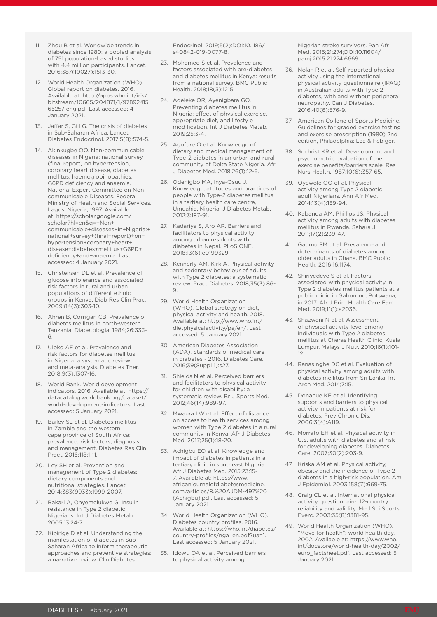- 11. Zhou B et al. Worldwide trends in diabetes since 1980: a pooled analysis of 751 population-based studies with 4.4 million participants. Lancet. 2016;387(10027):1513-30.
- 12. World Health Organization (WHO). Global report on diabetes. 2016. Available at: http://apps.who.int/iris/ bitstream/10665/204871/1/97892415 65257 eng.pdf Last accessed: 4 January 2021.
- 13. Jaffar S, Gill G. The crisis of diabetes in Sub-Saharan Africa. Lancet Diabetes Endocrinol. 2017;5(8):574-5.
- 14. Akinkugbe OO. Non-communicable diseases in Nigeria: national survey (final report) on hypertension, coronary heart disease, diabetes mellitus, haemoglobinopathies, G6PD deficiency and anaemia. National Expert Committee on Noncommunicable Diseases. Federal Ministry of Health and Social Services. Lagos, Nigeria, 1997. Available at: https://scholar.google.com/ scholar?hl=en&q=+Non+ communicable+diseases+in+Nigeria:+ national+survey+(final+report)+on+ hypertension+coronary+heart+ disease+diabetes+mellitus+G6PD+ deficiency+and+anaemia. Last accessed: 4 January 2021.
- 15. Christensen DL et al. Prevalence of glucose intolerance and associated risk factors in rural and urban populations of different ethnic groups in Kenya. Diab Res Clin Prac. 2009;84(3):303-10.
- 16. Ahren B, Corrigan CB. Prevalence of diabetes mellitus in north-western Tanzania. Diabetologia. 1984;26:333- 6.
- 17. Uloko AE et al. Prevalence and risk factors for diabetes mellitus in Nigeria: a systematic review and meta-analysis. Diabetes Ther. 2018;9(3):1307-16.
- 18. World Bank. World development indicators. 2016. Available at: https:// datacatalog.worldbank.org/dataset/ world-development-indicators. Last accessed: 5 January 2021.
- 19. Bailey SL et al. Diabetes mellitus in Zambia and the western cape province of South Africa: prevalence, risk factors, diagnosis and management. Diabetes Res Clin Pract. 2016;118:1-11.
- 20. Ley SH et al. Prevention and management of Type 2 diabetes: dietary components and nutritional strategies. Lancet. 2014;383(9933):1999-2007.
- 21. Bakari A, Onyemelukwe G. Insulin resistance in Type 2 diabetic Nigerians. Int J Diabetes Metab. 2005;13:24-7.
- 22. Kibirige D et al. Understanding the manifestation of diabetes in Sub-Saharan Africa to inform therapeutic approaches and preventive strategies: a narrative review. Clin Diabetes

Endocrinol. 2019;5(2):DOI:10.1186/ s40842-019-0077-8.

- 23. Mohamed S et al. Prevalence and factors associated with pre-diabetes and diabetes mellitus in Kenya: results from a national survey. BMC Public Health. 2018;18(3):1215.
- 24. Adeleke OR, Ayenigbara GO. Preventing diabetes mellitus in Nigeria: effect of physical exercise, appropriate diet, and lifestyle modification. Int J Diabetes Metab. 2019;25:3-4.
- 25. Agofure O et al. Knowledge of dietary and medical management of Type-2 diabetes in an urban and rural community of Delta State Nigeria. Afr J Diabetes Med. 2018;26(1):12-5.
- 26. Odenigbo MA, Inya-Osuu J. Knowledge, attitudes and practices of people with Type-2 diabetes mellitus in a tertiary health care centre, Umuahia, Nigeria. J Diabetes Metab, 2012;3:187-91.
- 27. Kadariya S, Aro AR. Barriers and facilitators to physical activity among urban residents with diabetes in Nepal. PLoS ONE. 2018;13(6):e0199329.
- 28. Kennerly AM, Kirk A. Physical activity and sedentary behaviour of adults with Type 2 diabetes: a systematic review. Pract Diabetes. 2018;35(3):86- 9.
- 29. World Health Organization (WHO). Global strategy on diet, physical activity and health. 2018. Available at: http://www.who.int/ dietphysicalactivity/pa/en/. Last accessed: 5 January 2021.
- 30. American Diabetes Association (ADA). Standards of medical care in diabetes - 2016. Diabetes Care. 2016;39(Suppl 1):s27.
- 31. Shields N et al. Perceived barriers and facilitators to physical activity for children with disability: a systematic review. Br J Sports Med. 2012;46(14):989-97.
- 32. Mwaura LW et al. Effect of distance on access to health services among women with Type 2 diabetes in a rural community in Kenya. Afr J Diabetes Med. 2017;25(1):18-20.
- 33. Achigbu EO et al. Knowledge and impact of diabetes in patients in a tertiary clinic in southeast Nigeria. Afr J Diabetes Med. 2015;23:15- 7. Available at: https://www. africanjournalofdiabetesmedicine. com/articles/8.%20AJDM-497%20 (Achigbu).pdf. Last accessed: 5 January 2021.
- 34. World Health Organization (WHO). Diabetes country profiles. 2016. Available at: https://who.int/diabetes/ country-profiles/nga\_en.pdf?ua=1. Last accessed: 5 January 2021.
- 35. Idowu OA et al. Perceived barriers to physical activity among

Nigerian stroke survivors. Pan Afr Med. 2015;21:274;DOI:10.11604/ pamj.2015.21.274.6669.

- 36. Nolan R et al. Self-reported physical activity using the international physical activity questionnaire (IPAQ) in Australian adults with Type 2 diabetes, with and without peripheral neuropathy. Can J Diabetes. 2016;40(6):576-9.
- 37. American College of Sports Medicine, Guidelines for graded exercise testing and exercise prescription (1980) 2nd edition, Philadelphia: Lea & Febiger.
- 38. Sechrist KR et al. Development and psychometric evaluation of the exercise benefits/barriers scale. Res Nurs Health. 1987;10(6):357-65.
- 39. Oyewole OO et al. Physical activity among Type 2 diabetic adult Nigerians. Ann Afr Med. 2014;13(4):189-94.
- 40. Kabanda AM, Phillips JS. Physical activity among adults with diabetes mellitus in Rwanda. Sahara J. 2011;17(2):239-47.
- 41. Gatimu SM et al. Prevalence and determinants of diabetes among older adults in Ghana. BMC Public Health. 2016;16:1174.
- 42. Shiriyedeve S et al. Factors associated with physical activity in Type 2 diabetes mellitus patients at a public clinic in Gaborone, Botswana, in 2017. Afr J Prim Health Care Fam Med. 2019;11(1):a2036.
- 43. Shazwani N et al. Assessment of physical activity level among individuals with Type 2 diabetes mellitus at Cheras Health Clinic, Kuala Lumpur. Malays J Nutr. 2010;16(1):101- 12.
- 44. Ranasinghe DC et al. Evaluation of physical activity among adults with diabetes mellitus from Sri Lanka. Int Arch Med. 2014;7:15.
- 45. Donahue KE et al. Identifying supports and barriers to physical activity in patients at risk for diabetes. Prev Chronic Dis. 2006;3(4):A119.
- 46. Morrato EH et al. Physical activity in U.S. adults with diabetes and at risk for developing diabetes. Diabetes Care. 2007;30(2):203-9.
- 47. Kriska AM et al. Physical activity, obesity and the incidence of Type 2 diabetes in a high-risk population. Am J Epidemiol. 2003;158(7):669-75.
- 48. Craig CL et al. International physical activity questionnaire: 12-country reliability and validity. Med Sci Sports Exerc. 2003;35(8):1381-95.
- 49. World Health Organization (WHO). "Move for health": world health day. 2002. Available at: https://www.who. int/docstore/world-health-day/2002/ euro\_factsheet.pdf. Last accessed: 5 January 2021.